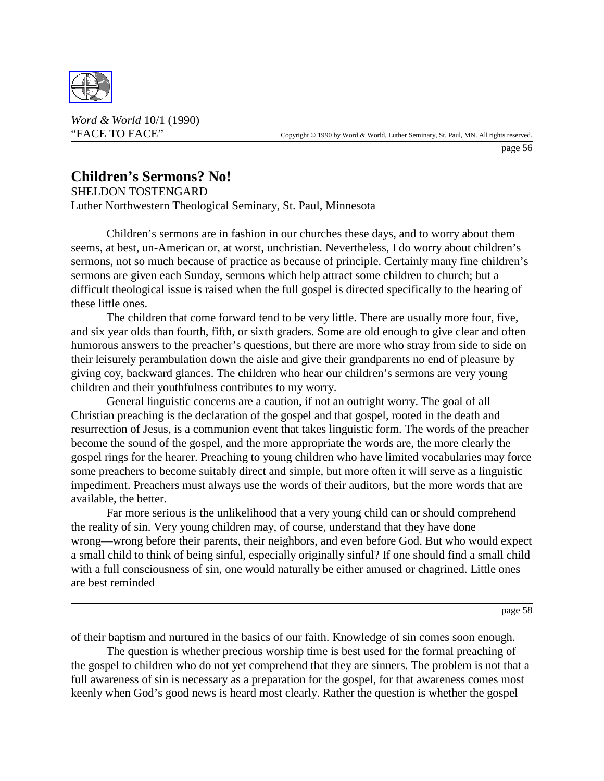

*Word & World* 10/1 (1990)

page 56

## **Children's Sermons? No!**

SHELDON TOSTENGARD Luther Northwestern Theological Seminary, St. Paul, Minnesota

Children's sermons are in fashion in our churches these days, and to worry about them seems, at best, un-American or, at worst, unchristian. Nevertheless, I do worry about children's sermons, not so much because of practice as because of principle. Certainly many fine children's sermons are given each Sunday, sermons which help attract some children to church; but a difficult theological issue is raised when the full gospel is directed specifically to the hearing of these little ones.

The children that come forward tend to be very little. There are usually more four, five, and six year olds than fourth, fifth, or sixth graders. Some are old enough to give clear and often humorous answers to the preacher's questions, but there are more who stray from side to side on their leisurely perambulation down the aisle and give their grandparents no end of pleasure by giving coy, backward glances. The children who hear our children's sermons are very young children and their youthfulness contributes to my worry.

General linguistic concerns are a caution, if not an outright worry. The goal of all Christian preaching is the declaration of the gospel and that gospel, rooted in the death and resurrection of Jesus, is a communion event that takes linguistic form. The words of the preacher become the sound of the gospel, and the more appropriate the words are, the more clearly the gospel rings for the hearer. Preaching to young children who have limited vocabularies may force some preachers to become suitably direct and simple, but more often it will serve as a linguistic impediment. Preachers must always use the words of their auditors, but the more words that are available, the better.

Far more serious is the unlikelihood that a very young child can or should comprehend the reality of sin. Very young children may, of course, understand that they have done wrong—wrong before their parents, their neighbors, and even before God. But who would expect a small child to think of being sinful, especially originally sinful? If one should find a small child with a full consciousness of sin, one would naturally be either amused or chagrined. Little ones are best reminded

page 58

of their baptism and nurtured in the basics of our faith. Knowledge of sin comes soon enough.

The question is whether precious worship time is best used for the formal preaching of the gospel to children who do not yet comprehend that they are sinners. The problem is not that a full awareness of sin is necessary as a preparation for the gospel, for that awareness comes most keenly when God's good news is heard most clearly. Rather the question is whether the gospel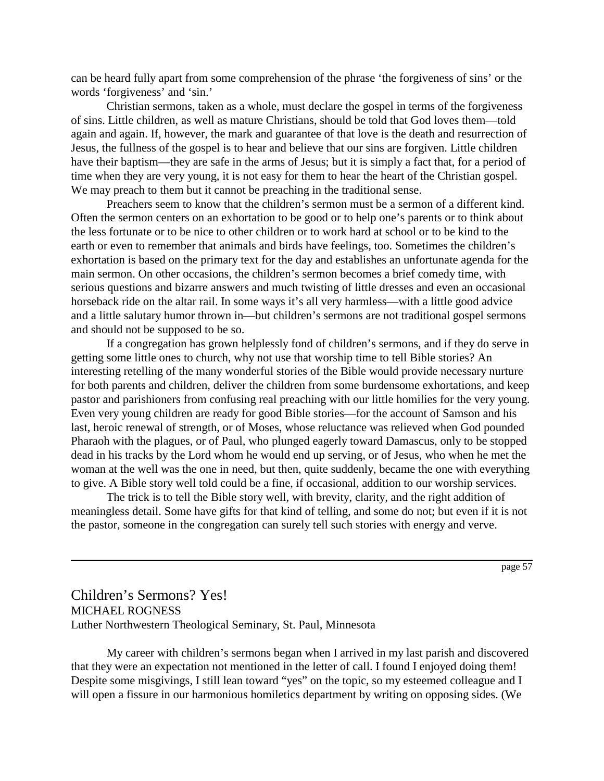can be heard fully apart from some comprehension of the phrase 'the forgiveness of sins' or the words 'forgiveness' and 'sin.'

Christian sermons, taken as a whole, must declare the gospel in terms of the forgiveness of sins. Little children, as well as mature Christians, should be told that God loves them—told again and again. If, however, the mark and guarantee of that love is the death and resurrection of Jesus, the fullness of the gospel is to hear and believe that our sins are forgiven. Little children have their baptism—they are safe in the arms of Jesus; but it is simply a fact that, for a period of time when they are very young, it is not easy for them to hear the heart of the Christian gospel. We may preach to them but it cannot be preaching in the traditional sense.

Preachers seem to know that the children's sermon must be a sermon of a different kind. Often the sermon centers on an exhortation to be good or to help one's parents or to think about the less fortunate or to be nice to other children or to work hard at school or to be kind to the earth or even to remember that animals and birds have feelings, too. Sometimes the children's exhortation is based on the primary text for the day and establishes an unfortunate agenda for the main sermon. On other occasions, the children's sermon becomes a brief comedy time, with serious questions and bizarre answers and much twisting of little dresses and even an occasional horseback ride on the altar rail. In some ways it's all very harmless—with a little good advice and a little salutary humor thrown in—but children's sermons are not traditional gospel sermons and should not be supposed to be so.

If a congregation has grown helplessly fond of children's sermons, and if they do serve in getting some little ones to church, why not use that worship time to tell Bible stories? An interesting retelling of the many wonderful stories of the Bible would provide necessary nurture for both parents and children, deliver the children from some burdensome exhortations, and keep pastor and parishioners from confusing real preaching with our little homilies for the very young. Even very young children are ready for good Bible stories—for the account of Samson and his last, heroic renewal of strength, or of Moses, whose reluctance was relieved when God pounded Pharaoh with the plagues, or of Paul, who plunged eagerly toward Damascus, only to be stopped dead in his tracks by the Lord whom he would end up serving, or of Jesus, who when he met the woman at the well was the one in need, but then, quite suddenly, became the one with everything to give. A Bible story well told could be a fine, if occasional, addition to our worship services.

The trick is to tell the Bible story well, with brevity, clarity, and the right addition of meaningless detail. Some have gifts for that kind of telling, and some do not; but even if it is not the pastor, someone in the congregation can surely tell such stories with energy and verve.

page 57

Children's Sermons? Yes! MICHAEL ROGNESS Luther Northwestern Theological Seminary, St. Paul, Minnesota

My career with children's sermons began when I arrived in my last parish and discovered that they were an expectation not mentioned in the letter of call. I found I enjoyed doing them! Despite some misgivings, I still lean toward "yes" on the topic, so my esteemed colleague and I will open a fissure in our harmonious homiletics department by writing on opposing sides. (We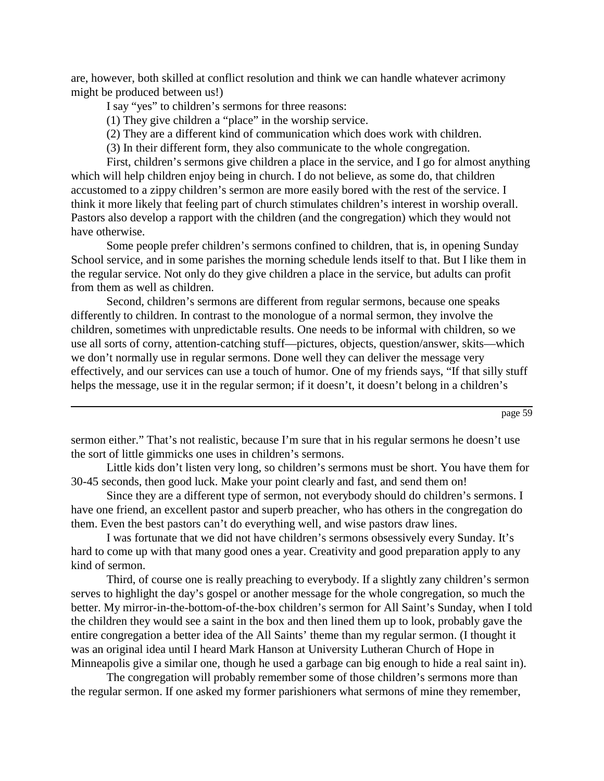are, however, both skilled at conflict resolution and think we can handle whatever acrimony might be produced between us!)

I say "yes" to children's sermons for three reasons:

(1) They give children a "place" in the worship service.

(2) They are a different kind of communication which does work with children.

(3) In their different form, they also communicate to the whole congregation.

First, children's sermons give children a place in the service, and I go for almost anything which will help children enjoy being in church. I do not believe, as some do, that children accustomed to a zippy children's sermon are more easily bored with the rest of the service. I think it more likely that feeling part of church stimulates children's interest in worship overall. Pastors also develop a rapport with the children (and the congregation) which they would not have otherwise.

Some people prefer children's sermons confined to children, that is, in opening Sunday School service, and in some parishes the morning schedule lends itself to that. But I like them in the regular service. Not only do they give children a place in the service, but adults can profit from them as well as children.

Second, children's sermons are different from regular sermons, because one speaks differently to children. In contrast to the monologue of a normal sermon, they involve the children, sometimes with unpredictable results. One needs to be informal with children, so we use all sorts of corny, attention-catching stuff—pictures, objects, question/answer, skits—which we don't normally use in regular sermons. Done well they can deliver the message very effectively, and our services can use a touch of humor. One of my friends says, "If that silly stuff helps the message, use it in the regular sermon; if it doesn't, it doesn't belong in a children's

page 59

sermon either." That's not realistic, because I'm sure that in his regular sermons he doesn't use the sort of little gimmicks one uses in children's sermons.

Little kids don't listen very long, so children's sermons must be short. You have them for 30-45 seconds, then good luck. Make your point clearly and fast, and send them on!

Since they are a different type of sermon, not everybody should do children's sermons. I have one friend, an excellent pastor and superb preacher, who has others in the congregation do them. Even the best pastors can't do everything well, and wise pastors draw lines.

I was fortunate that we did not have children's sermons obsessively every Sunday. It's hard to come up with that many good ones a year. Creativity and good preparation apply to any kind of sermon.

Third, of course one is really preaching to everybody. If a slightly zany children's sermon serves to highlight the day's gospel or another message for the whole congregation, so much the better. My mirror-in-the-bottom-of-the-box children's sermon for All Saint's Sunday, when I told the children they would see a saint in the box and then lined them up to look, probably gave the entire congregation a better idea of the All Saints' theme than my regular sermon. (I thought it was an original idea until I heard Mark Hanson at University Lutheran Church of Hope in Minneapolis give a similar one, though he used a garbage can big enough to hide a real saint in).

The congregation will probably remember some of those children's sermons more than the regular sermon. If one asked my former parishioners what sermons of mine they remember,